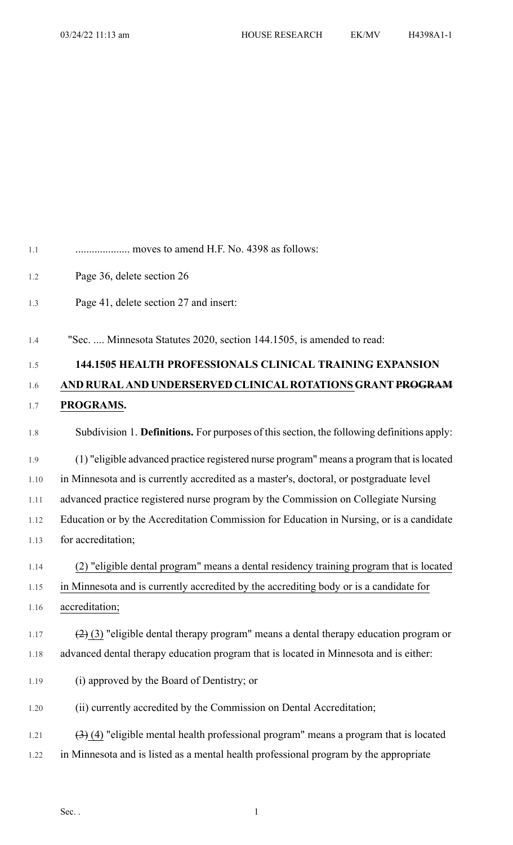| 1.1  | moves to amend H.F. No. 4398 as follows:                                                                     |
|------|--------------------------------------------------------------------------------------------------------------|
| 1.2  | Page 36, delete section 26                                                                                   |
| 1.3  | Page 41, delete section 27 and insert:                                                                       |
| 1.4  | "Sec.  Minnesota Statutes 2020, section 144.1505, is amended to read:                                        |
| 1.5  | <b>144.1505 HEALTH PROFESSIONALS CLINICAL TRAINING EXPANSION</b>                                             |
| 1.6  | AND RURAL AND UNDERSERVED CLINICAL ROTATIONS GRANT PROGRAM                                                   |
| 1.7  | PROGRAMS.                                                                                                    |
| 1.8  | Subdivision 1. Definitions. For purposes of this section, the following definitions apply:                   |
| 1.9  | (1) "eligible advanced practice registered nurse program" means a program that is located                    |
| 1.10 | in Minnesota and is currently accredited as a master's, doctoral, or postgraduate level                      |
| 1.11 | advanced practice registered nurse program by the Commission on Collegiate Nursing                           |
| 1.12 | Education or by the Accreditation Commission for Education in Nursing, or is a candidate                     |
| 1.13 | for accreditation;                                                                                           |
| 1.14 | (2) "eligible dental program" means a dental residency training program that is located                      |
| 1.15 | in Minnesota and is currently accredited by the accrediting body or is a candidate for                       |
| 1.16 | accreditation;                                                                                               |
| 1.17 | $(2)$ (3) "eligible dental therapy program" means a dental therapy education program or                      |
| 1.18 | advanced dental therapy education program that is located in Minnesota and is either:                        |
| 1.19 | (i) approved by the Board of Dentistry; or                                                                   |
| 1.20 | (ii) currently accredited by the Commission on Dental Accreditation;                                         |
| 1.21 | $\left(\frac{1}{2}\right)$ (4) "eligible mental health professional program" means a program that is located |
| 1.22 | in Minnesota and is listed as a mental health professional program by the appropriate                        |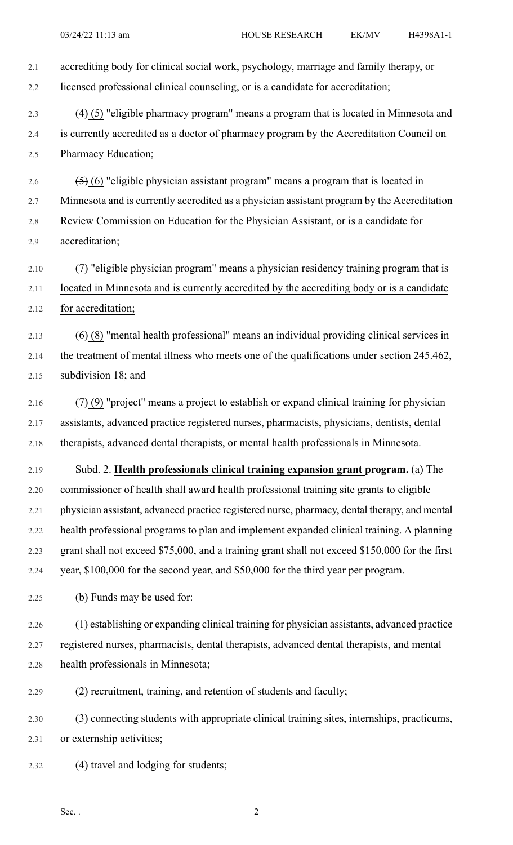| 2.1  | accrediting body for clinical social work, psychology, marriage and family therapy, or         |
|------|------------------------------------------------------------------------------------------------|
| 2.2  | licensed professional clinical counseling, or is a candidate for accreditation;                |
| 2.3  | $(4)$ (5) "eligible pharmacy program" means a program that is located in Minnesota and         |
| 2.4  | is currently accredited as a doctor of pharmacy program by the Accreditation Council on        |
| 2.5  | Pharmacy Education;                                                                            |
| 2.6  | $(5)$ (6) "eligible physician assistant program" means a program that is located in            |
| 2.7  | Minnesota and is currently accredited as a physician assistant program by the Accreditation    |
| 2.8  | Review Commission on Education for the Physician Assistant, or is a candidate for              |
| 2.9  | accreditation;                                                                                 |
| 2.10 | (7) "eligible physician program" means a physician residency training program that is          |
| 2.11 | located in Minnesota and is currently accredited by the accrediting body or is a candidate     |
| 2.12 | for accreditation;                                                                             |
| 2.13 | $(6)$ (8) "mental health professional" means an individual providing clinical services in      |
| 2.14 | the treatment of mental illness who meets one of the qualifications under section 245.462,     |
| 2.15 | subdivision 18; and                                                                            |
| 2.16 | $(7)$ (9) "project" means a project to establish or expand clinical training for physician     |
| 2.17 | assistants, advanced practice registered nurses, pharmacists, physicians, dentists, dental     |
| 2.18 | therapists, advanced dental therapists, or mental health professionals in Minnesota.           |
| 2.19 | Subd. 2. Health professionals clinical training expansion grant program. (a) The               |
| 2.20 | commissioner of health shall award health professional training site grants to eligible        |
| 2.21 | physician assistant, advanced practice registered nurse, pharmacy, dental therapy, and mental  |
| 2.22 | health professional programs to plan and implement expanded clinical training. A planning      |
| 2.23 | grant shall not exceed \$75,000, and a training grant shall not exceed \$150,000 for the first |
| 2.24 | year, \$100,000 for the second year, and \$50,000 for the third year per program.              |
| 2.25 | (b) Funds may be used for:                                                                     |
| 2.26 | (1) establishing or expanding clinical training for physician assistants, advanced practice    |
| 2.27 | registered nurses, pharmacists, dental therapists, advanced dental therapists, and mental      |
| 2.28 | health professionals in Minnesota;                                                             |
| 2.29 | (2) recruitment, training, and retention of students and faculty;                              |
| 2.30 | (3) connecting students with appropriate clinical training sites, internships, practicums,     |
| 2.31 | or externship activities;                                                                      |
| 2.32 | (4) travel and lodging for students;                                                           |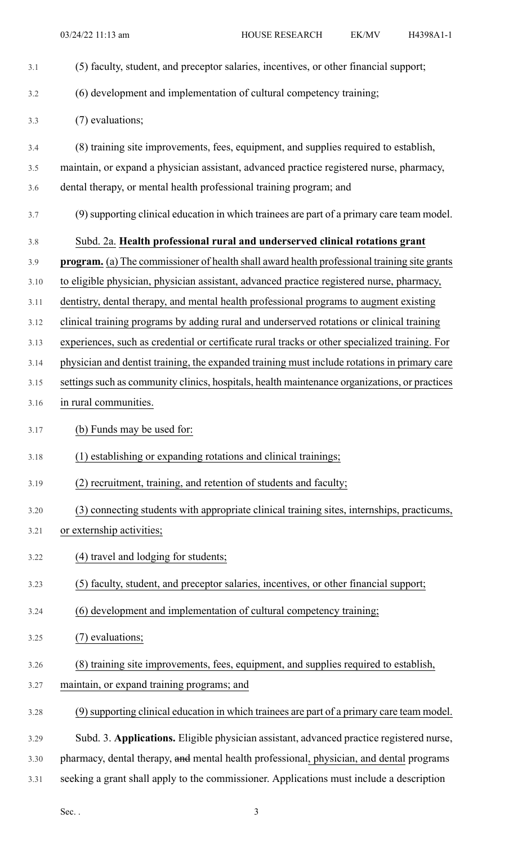| 3.1  | (5) faculty, student, and preceptor salaries, incentives, or other financial support;               |
|------|-----------------------------------------------------------------------------------------------------|
| 3.2  | (6) development and implementation of cultural competency training;                                 |
| 3.3  | (7) evaluations;                                                                                    |
| 3.4  | (8) training site improvements, fees, equipment, and supplies required to establish,                |
| 3.5  | maintain, or expand a physician assistant, advanced practice registered nurse, pharmacy,            |
| 3.6  | dental therapy, or mental health professional training program; and                                 |
| 3.7  | (9) supporting clinical education in which trainees are part of a primary care team model.          |
| 3.8  | Subd. 2a. Health professional rural and underserved clinical rotations grant                        |
| 3.9  | <b>program.</b> (a) The commissioner of health shall award health professional training site grants |
| 3.10 | to eligible physician, physician assistant, advanced practice registered nurse, pharmacy,           |
| 3.11 | dentistry, dental therapy, and mental health professional programs to augment existing              |
| 3.12 | clinical training programs by adding rural and underserved rotations or clinical training           |
| 3.13 | experiences, such as credential or certificate rural tracks or other specialized training. For      |
| 3.14 | physician and dentist training, the expanded training must include rotations in primary care        |
| 3.15 | settings such as community clinics, hospitals, health maintenance organizations, or practices       |
| 3.16 | in rural communities.                                                                               |
| 3.17 | (b) Funds may be used for:                                                                          |
| 3.18 | (1) establishing or expanding rotations and clinical trainings;                                     |
| 3.19 | (2) recruitment, training, and retention of students and faculty;                                   |
| 3.20 | (3) connecting students with appropriate clinical training sites, internships, practicums,          |
| 3.21 | or externship activities;                                                                           |
| 3.22 | (4) travel and lodging for students;                                                                |
| 3.23 | (5) faculty, student, and preceptor salaries, incentives, or other financial support;               |
| 3.24 | (6) development and implementation of cultural competency training;                                 |
| 3.25 | (7) evaluations;                                                                                    |
| 3.26 | (8) training site improvements, fees, equipment, and supplies required to establish,                |
| 3.27 | maintain, or expand training programs; and                                                          |
| 3.28 | (9) supporting clinical education in which trainees are part of a primary care team model.          |
| 3.29 | Subd. 3. Applications. Eligible physician assistant, advanced practice registered nurse,            |
| 3.30 | pharmacy, dental therapy, and mental health professional, physician, and dental programs            |
| 3.31 | seeking a grant shall apply to the commissioner. Applications must include a description            |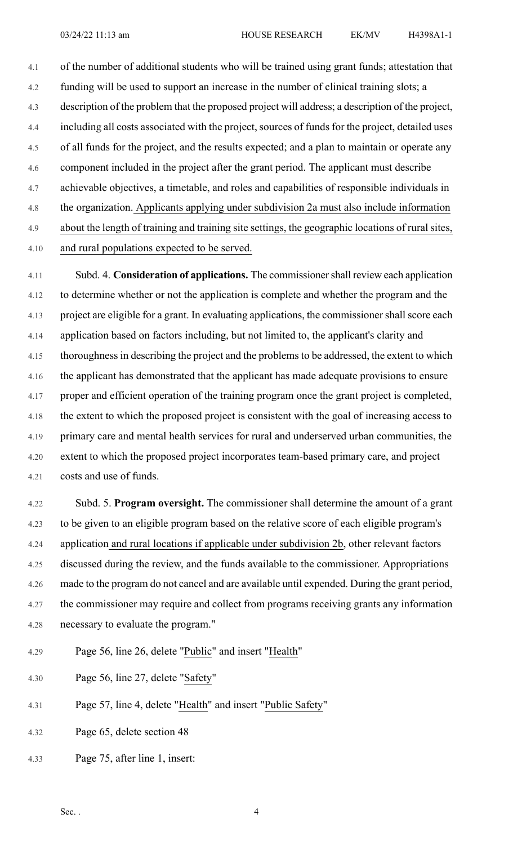4.1 of the number of additional students who will be trained using grant funds; attestation that 4.2 funding will be used to support an increase in the number of clinical training slots; a 4.3 description of the problem that the proposed project will address; a description of the project, 4.4 including all costs associated with the project, sources of funds for the project, detailed uses 4.5 of all funds for the project, and the results expected; and a plan to maintain or operate any 4.6 component included in the project after the grant period. The applicant must describe 4.7 achievable objectives, a timetable, and roles and capabilities of responsible individuals in 4.8 the organization. Applicants applying under subdivision 2a must also include information 4.9 about the length of training and training site settings, the geographic locations of rural sites,

4.10 and rural populations expected to be served.

4.11 Subd. 4. **Consideration of applications.** The commissionershall review each application 4.12 to determine whether or not the application is complete and whether the program and the 4.13 project are eligible for a grant. In evaluating applications, the commissioner shall score each 4.14 application based on factors including, but not limited to, the applicant's clarity and 4.15 thoroughness in describing the project and the problems to be addressed, the extent to which 4.16 the applicant has demonstrated that the applicant has made adequate provisions to ensure 4.17 proper and efficient operation of the training program once the grant project is completed, 4.18 the extent to which the proposed project is consistent with the goal of increasing access to 4.19 primary care and mental health services for rural and underserved urban communities, the 4.20 extent to which the proposed project incorporates team-based primary care, and project 4.21 costs and use of funds.

4.22 Subd. 5. **Program oversight.** The commissioner shall determine the amount of a grant 4.23 to be given to an eligible program based on the relative score of each eligible program's 4.24 application and rural locations if applicable under subdivision 2b, other relevant factors 4.25 discussed during the review, and the funds available to the commissioner. Appropriations 4.26 made to the program do not cancel and are available until expended. During the grant period, 4.27 the commissioner may require and collect from programs receiving grants any information 4.28 necessary to evaluate the program."

- 4.29 Page 56, line 26, delete "Public" and insert "Health"
- 4.30 Page 56, line 27, delete "Safety"
- 4.31 Page 57, line 4, delete "Health" and insert "Public Safety"
- 4.32 Page 65, delete section 48
- 4.33 Page 75, after line 1, insert: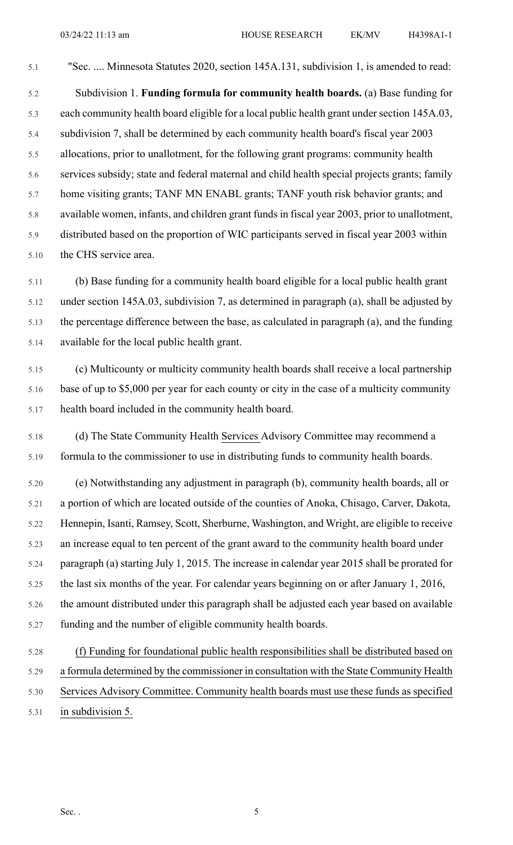5.1 "Sec. .... Minnesota Statutes 2020, section 145A.131, subdivision 1, is amended to read:

5.2 Subdivision 1. **Funding formula for community health boards.** (a) Base funding for 5.3 each community health board eligible for a local public health grant under section 145A.03, 5.4 subdivision 7, shall be determined by each community health board's fiscal year 2003 5.5 allocations, prior to unallotment, for the following grant programs: community health 5.6 services subsidy; state and federal maternal and child health special projects grants; family 5.7 home visiting grants; TANF MN ENABL grants; TANF youth risk behavior grants; and 5.8 available women, infants, and children grant funds in fiscal year 2003, prior to unallotment, 5.9 distributed based on the proportion of WIC participants served in fiscal year 2003 within 5.10 the CHS service area.

5.11 (b) Base funding for a community health board eligible for a local public health grant 5.12 under section 145A.03, subdivision 7, as determined in paragraph (a), shall be adjusted by 5.13 the percentage difference between the base, as calculated in paragraph (a), and the funding 5.14 available for the local public health grant.

5.15 (c) Multicounty or multicity community health boards shall receive a local partnership 5.16 base of up to \$5,000 per year for each county or city in the case of a multicity community 5.17 health board included in the community health board.

5.18 (d) The State Community Health Services Advisory Committee may recommend a 5.19 formula to the commissioner to use in distributing funds to community health boards.

5.20 (e) Notwithstanding any adjustment in paragraph (b), community health boards, all or 5.21 a portion of which are located outside of the counties of Anoka, Chisago, Carver, Dakota, 5.22 Hennepin, Isanti, Ramsey, Scott, Sherburne, Washington, and Wright, are eligible to receive 5.23 an increase equal to ten percent of the grant award to the community health board under 5.24 paragraph (a) starting July 1, 2015. The increase in calendar year 2015 shall be prorated for 5.25 the last six months of the year. For calendar years beginning on or after January 1, 2016, 5.26 the amount distributed under this paragraph shall be adjusted each year based on available 5.27 funding and the number of eligible community health boards.

## 5.28 (f) Funding for foundational public health responsibilities shall be distributed based on 5.29 a formula determined by the commissioner in consultation with the State Community Health 5.30 Services Advisory Committee. Community health boards must use these funds as specified 5.31 in subdivision 5.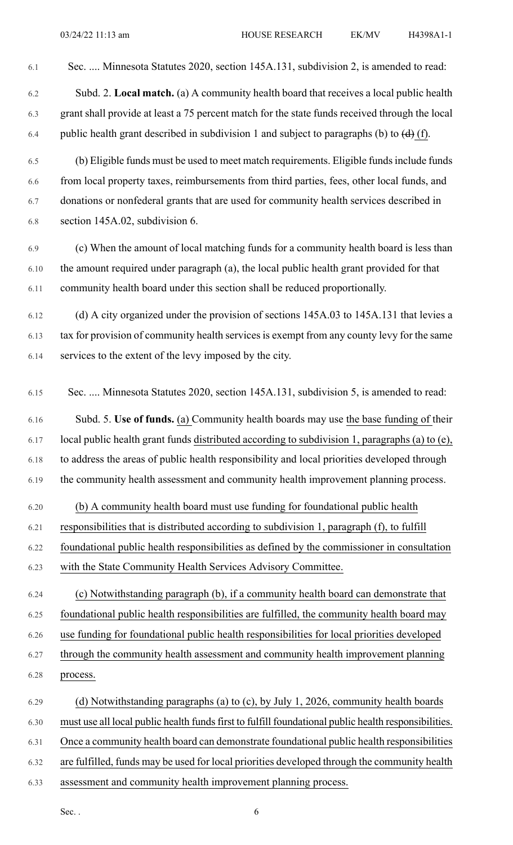- 6.1 Sec. .... Minnesota Statutes 2020, section 145A.131, subdivision 2, is amended to read: 6.2 Subd. 2. **Local match.** (a) A community health board that receives a local public health 6.3 grant shall provide at least a 75 percent match for the state funds received through the local 6.4 public health grant described in subdivision 1 and subject to paragraphs (b) to  $\left(\frac{d}{d}\right)$  (f). 6.5 (b) Eligible funds must be used to meet match requirements. Eligible fundsinclude funds 6.6 from local property taxes, reimbursements from third parties, fees, other local funds, and 6.7 donations or nonfederal grants that are used for community health services described in 6.8 section 145A.02, subdivision 6. 6.9 (c) When the amount of local matching funds for a community health board is less than 6.10 the amount required under paragraph (a), the local public health grant provided for that 6.11 community health board under this section shall be reduced proportionally. 6.12 (d) A city organized under the provision of sections 145A.03 to 145A.131 that levies a 6.13 tax for provision of community health services is exempt from any county levy for the same 6.14 services to the extent of the levy imposed by the city. 6.15 Sec. .... Minnesota Statutes 2020, section 145A.131, subdivision 5, is amended to read: 6.16 Subd. 5. **Use of funds.** (a) Community health boards may use the base funding of their 6.17 local public health grant funds distributed according to subdivision 1, paragraphs (a) to (e), 6.18 to address the areas of public health responsibility and local priorities developed through 6.19 the community health assessment and community health improvement planning process. 6.20 (b) A community health board must use funding for foundational public health 6.21 responsibilities that is distributed according to subdivision 1, paragraph (f), to fulfill 6.22 foundational public health responsibilities as defined by the commissioner in consultation 6.23 with the State Community Health Services Advisory Committee. 6.24 (c) Notwithstanding paragraph (b), if a community health board can demonstrate that 6.25 foundational public health responsibilities are fulfilled, the community health board may 6.26 use funding for foundational public health responsibilities for local priorities developed 6.27 through the community health assessment and community health improvement planning 6.28 process. 6.29 (d) Notwithstanding paragraphs (a) to (c), by July 1, 2026, community health boards 6.30 must use all local public health fundsfirst to fulfill foundational public health responsibilities. 6.31 Once a community health board can demonstrate foundational public health responsibilities 6.32 are fulfilled, funds may be used for local priorities developed through the community health
	- 6.33 assessment and community health improvement planning process.

Sec.  $\,$  6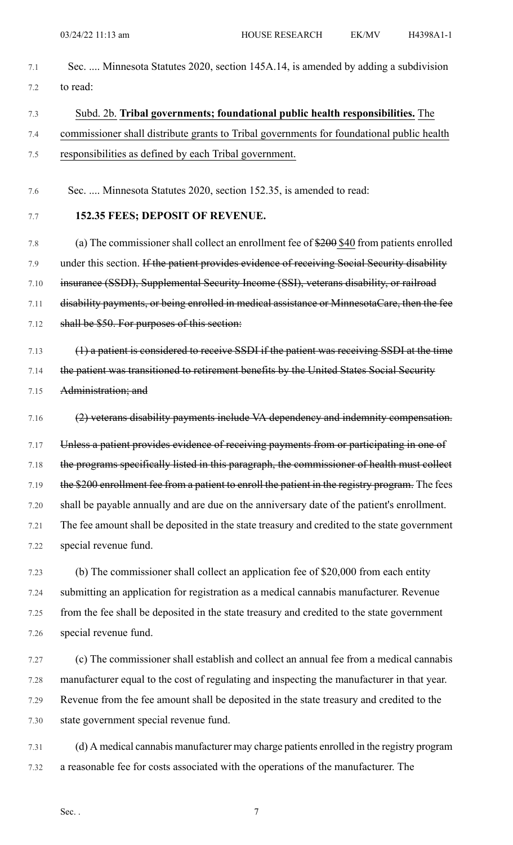- 7.1 Sec. .... Minnesota Statutes 2020, section 145A.14, is amended by adding a subdivision 7.2 to read:
- 7.3 Subd. 2b. **Tribal governments; foundational public health responsibilities.** The 7.4 commissioner shall distribute grants to Tribal governments for foundational public health 7.5 responsibilities as defined by each Tribal government.
- 7.6 Sec. .... Minnesota Statutes 2020, section 152.35, is amended to read:

## 7.7 **152.35 FEES; DEPOSIT OF REVENUE.**

7.8 (a) The commissioner shall collect an enrollment fee of \$200 \$40 from patients enrolled 7.9 under this section. If the patient provides evidence of receiving Social Security disability 7.10 insurance (SSDI), Supplemental Security Income (SSI), veterans disability, or railroad 7.11 disability payments, or being enrolled in medical assistance or MinnesotaCare, then the fee 7.12 shall be \$50. For purposes of this section:

- 7.13 (1) a patient is considered to receive SSDI if the patient was receiving SSDI at the time 7.14 the patient was transitioned to retirement benefits by the United States Social Security
- 7.15 Administration; and
- 7.16 (2) veterans disability payments include VA dependency and indemnity compensation.
- 7.17 Unless a patient provides evidence of receiving payments from or participating in one of 7.18 the programs specifically listed in this paragraph, the commissioner of health must collect 7.19 the \$200 enrollment fee from a patient to enroll the patient in the registry program. The fees 7.20 shall be payable annually and are due on the anniversary date of the patient's enrollment. 7.21 The fee amount shall be deposited in the state treasury and credited to the state government 7.22 special revenue fund.
- 7.23 (b) The commissioner shall collect an application fee of \$20,000 from each entity 7.24 submitting an application for registration as a medical cannabis manufacturer. Revenue 7.25 from the fee shall be deposited in the state treasury and credited to the state government 7.26 special revenue fund.
- 7.27 (c) The commissioner shall establish and collect an annual fee from a medical cannabis 7.28 manufacturer equal to the cost of regulating and inspecting the manufacturer in that year. 7.29 Revenue from the fee amount shall be deposited in the state treasury and credited to the 7.30 state government special revenue fund.
- 7.31 (d) A medical cannabis manufacturer may charge patients enrolled in the registry program 7.32 a reasonable fee for costs associated with the operations of the manufacturer. The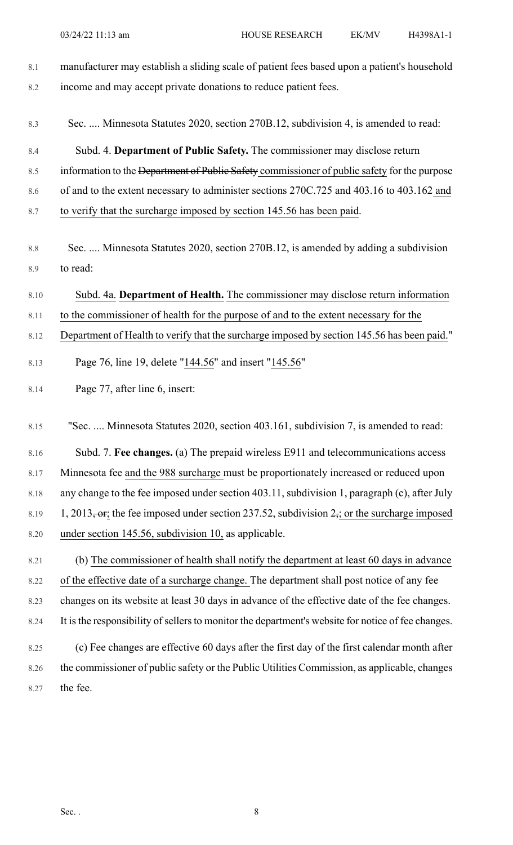| 8.1            | manufacturer may establish a sliding scale of patient fees based upon a patient's household        |
|----------------|----------------------------------------------------------------------------------------------------|
| 8.2            | income and may accept private donations to reduce patient fees.                                    |
| 8.3            | Sec.  Minnesota Statutes 2020, section 270B.12, subdivision 4, is amended to read:                 |
| 8.4            | Subd. 4. Department of Public Safety. The commissioner may disclose return                         |
| 8.5            | information to the Department of Public Safety commissioner of public safety for the purpose       |
| 8.6            | of and to the extent necessary to administer sections 270C.725 and 403.16 to 403.162 and           |
| 8.7            | to verify that the surcharge imposed by section 145.56 has been paid.                              |
| $8.8\,$<br>8.9 | Sec.  Minnesota Statutes 2020, section 270B.12, is amended by adding a subdivision<br>to read:     |
|                |                                                                                                    |
| 8.10           | Subd. 4a. Department of Health. The commissioner may disclose return information                   |
| 8.11           | to the commissioner of health for the purpose of and to the extent necessary for the               |
| 8.12           | Department of Health to verify that the surcharge imposed by section 145.56 has been paid."        |
| 8.13           | Page 76, line 19, delete "144.56" and insert "145.56"                                              |
| 8.14           | Page 77, after line 6, insert:                                                                     |
| 8.15           | "Sec.  Minnesota Statutes 2020, section 403.161, subdivision 7, is amended to read:                |
| 8.16           | Subd. 7. Fee changes. (a) The prepaid wireless E911 and telecommunications access                  |
| 8.17           | Minnesota fee and the 988 surcharge must be proportionately increased or reduced upon              |
| 8.18           | any change to the fee imposed under section 403.11, subdivision 1, paragraph (c), after July       |
| 8.19           | 1, 2013, or; the fee imposed under section 237.52, subdivision $2\pi$ ; or the surcharge imposed   |
| 8.20           | under section 145.56, subdivision 10, as applicable.                                               |
| 8.21           | (b) The commissioner of health shall notify the department at least 60 days in advance             |
| 8.22           | of the effective date of a surcharge change. The department shall post notice of any fee           |
| 8.23           | changes on its website at least 30 days in advance of the effective date of the fee changes.       |
| 8.24           | It is the responsibility of sellers to monitor the department's website for notice of fee changes. |
| 8.25           | (c) Fee changes are effective 60 days after the first day of the first calendar month after        |
| 8.26           | the commissioner of public safety or the Public Utilities Commission, as applicable, changes       |
| 8.27           | the fee.                                                                                           |
|                |                                                                                                    |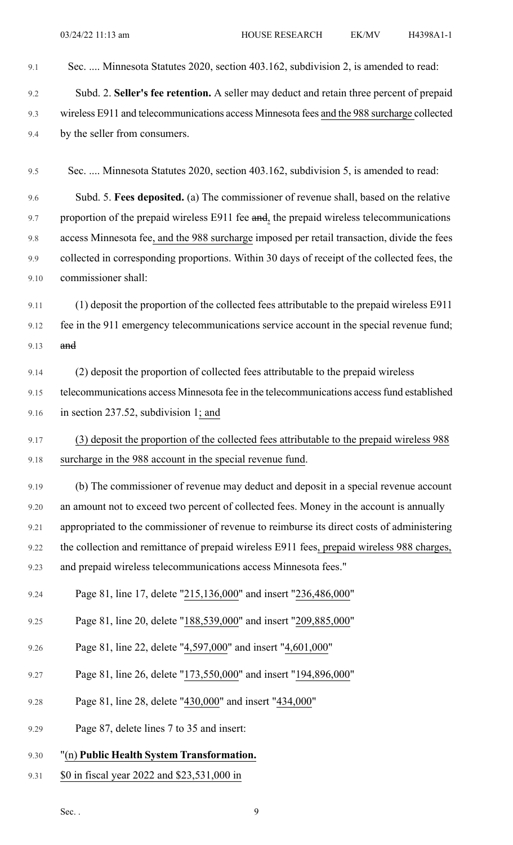- 9.1 Sec. .... Minnesota Statutes 2020, section 403.162, subdivision 2, is amended to read:
- 9.2 Subd. 2. **Seller's fee retention.** A seller may deduct and retain three percent of prepaid 9.3 wireless E911 and telecommunications access Minnesota fees and the 988 surcharge collected 9.4 by the seller from consumers.
- 9.5 Sec. .... Minnesota Statutes 2020, section 403.162, subdivision 5, is amended to read:

9.6 Subd. 5. **Fees deposited.** (a) The commissioner of revenue shall, based on the relative 9.7 proportion of the prepaid wireless E911 fee and, the prepaid wireless telecommunications 9.8 access Minnesota fee, and the 988 surcharge imposed per retail transaction, divide the fees 9.9 collected in corresponding proportions. Within 30 days of receipt of the collected fees, the 9.10 commissioner shall:

- 9.11 (1) deposit the proportion of the collected fees attributable to the prepaid wireless E911 9.12 fee in the 911 emergency telecommunications service account in the special revenue fund; 9.13 and
- 9.14 (2) deposit the proportion of collected fees attributable to the prepaid wireless 9.15 telecommunications access Minnesota fee in the telecommunications access fund established 9.16 in section 237.52, subdivision 1; and
- 9.17 (3) deposit the proportion of the collected fees attributable to the prepaid wireless 988 9.18 surcharge in the 988 account in the special revenue fund.
- 9.19 (b) The commissioner of revenue may deduct and deposit in a special revenue account 9.20 an amount not to exceed two percent of collected fees. Money in the account is annually 9.21 appropriated to the commissioner of revenue to reimburse its direct costs of administering 9.22 the collection and remittance of prepaid wireless E911 fees, prepaid wireless 988 charges, 9.23 and prepaid wireless telecommunications access Minnesota fees."
- 9.24 Page 81, line 17, delete "215,136,000" and insert "236,486,000"
- 9.25 Page 81, line 20, delete "188,539,000" and insert "209,885,000"
- 9.26 Page 81, line 22, delete "4,597,000" and insert "4,601,000"
- 9.27 Page 81, line 26, delete "173,550,000" and insert "194,896,000"
- 9.28 Page 81, line 28, delete "430,000" and insert "434,000"
- 9.29 Page 87, delete lines 7 to 35 and insert:
- 9.30 "(n) **Public Health System Transformation.**
- 9.31 \$0 in fiscal year 2022 and \$23,531,000 in